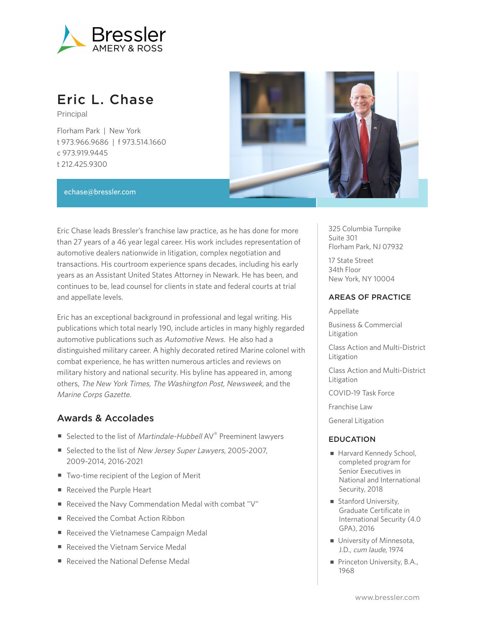

# Eric L. Chase

Principal

Florham Park | New York t 973.966.9686 | f 973.514.1660 c 973.919.9445 t 212.425.9300



#### echase@bressler.com

Eric Chase leads Bressler's franchise law practice, as he has done for more than 27 years of a 46 year legal career. His work includes representation of automotive dealers nationwide in litigation, complex negotiation and transactions. His courtroom experience spans decades, including his early years as an Assistant United States Attorney in Newark. He has been, and continues to be, lead counsel for clients in state and federal courts at trial and appellate levels.

Eric has an exceptional background in professional and legal writing. His publications which total nearly 190, include articles in many highly regarded automotive publications such as Automotive News. He also had a distinguished military career. A highly decorated retired Marine colonel with combat experience, he has written numerous articles and reviews on military history and national security. His byline has appeared in, among others, The New York Times, The Washington Post, Newsweek, and the Marine Corps Gazette.

#### Awards & Accolades

- Selected to the list of Martindale-Hubbell AV® Preeminent lawyers
- Selected to the list of New Jersey Super Lawyers, 2005-2007, 2009-2014, 2016-2021
- Two-time recipient of the Legion of Merit
- Received the Purple Heart
- Received the Navy Commendation Medal with combat "V"
- Received the Combat Action Ribbon
- Received the Vietnamese Campaign Medal
- Received the Vietnam Service Medal
- Received the National Defense Medal

325 Columbia Turnpike Suite 301 Florham Park, NJ 07932

17 State Street 34th Floor New York, NY 10004

#### AREAS OF PRACTICE

Appellate

Business & Commercial Litigation

Class Action and Multi-District Litigation

Class Action and Multi-District Litigation

COVID-19 Task Force

Franchise Law

General Litigation

#### EDUCATION

- Harvard Kennedy School, completed program for Senior Executives in National and International Security, 2018
- Stanford University, Graduate Certificate in International Security (4.0 GPA), 2016
- University of Minnesota, J.D., cum laude, 1974
- Princeton University, B.A., 1968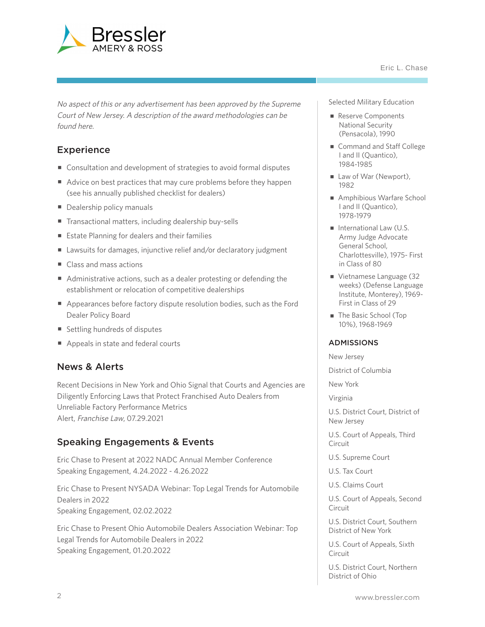

No aspect of this or any advertisement has been approved by the Supreme Court of New Jersey. A description of the award methodologies can be found here.

# **Experience**

- Consultation and development of strategies to avoid formal disputes
- Advice on best practices that may cure problems before they happen (see his annually published checklist for dealers)
- Dealership policy manuals
- Transactional matters, including dealership buy-sells
- Estate Planning for dealers and their families
- Lawsuits for damages, injunctive relief and/or declaratory judgment
- Class and mass actions
- Administrative actions, such as a dealer protesting or defending the establishment or relocation of competitive dealerships
- Appearances before factory dispute resolution bodies, such as the Ford Dealer Policy Board
- Settling hundreds of disputes
- Appeals in state and federal courts

#### News & Alerts

Recent Decisions in New York and Ohio Signal that Courts and Agencies are Diligently Enforcing Laws that Protect Franchised Auto Dealers from Unreliable Factory Performance Metrics Alert, Franchise Law, 07.29.2021

## Speaking Engagements & Events

Eric Chase to Present at 2022 NADC Annual Member Conference Speaking Engagement, 4.24.2022 - 4.26.2022

Eric Chase to Present NYSADA Webinar: Top Legal Trends for Automobile Dealers in 2022 Speaking Engagement, 02.02.2022

Eric Chase to Present Ohio Automobile Dealers Association Webinar: Top Legal Trends for Automobile Dealers in 2022 Speaking Engagement, 01.20.2022

Selected Military Education

- Reserve Components National Security (Pensacola), 1990
- Command and Staff College I and II (Quantico), 1984-1985
- Law of War (Newport), 1982
- Amphibious Warfare School I and II (Quantico), 1978-1979
- International Law (U.S. Army Judge Advocate General School, Charlottesville), 1975- First in Class of 80
- Vietnamese Language (32 weeks) (Defense Language Institute, Monterey), 1969- First in Class of 29
- The Basic School (Top 10%), 1968-1969

#### ADMISSIONS

New Jersey

District of Columbia

New York

Virginia

U.S. District Court, District of New Jersey

U.S. Court of Appeals, Third Circuit

U.S. Supreme Court

U.S. Tax Court

U.S. Claims Court

U.S. Court of Appeals, Second Circuit

U.S. District Court, Southern District of New York

U.S. Court of Appeals, Sixth Circuit

U.S. District Court, Northern District of Ohio